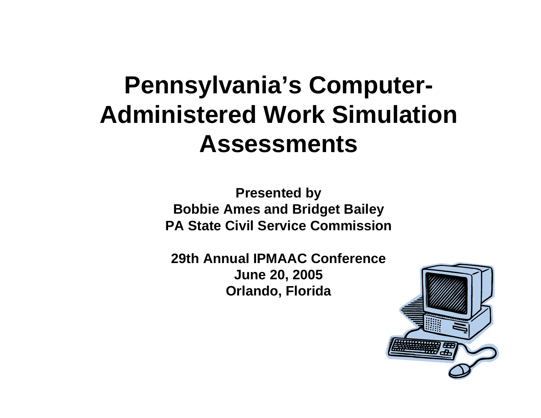#### **Pennsylvania's Computer-Administered Work Simulation Assessments**

**Presented by Bobbie Ames and Bridget Bailey PA State Civil Service Commission**

**29th Annual IPMAAC ConferenceJune 20, 2005 Orlando, Florida**

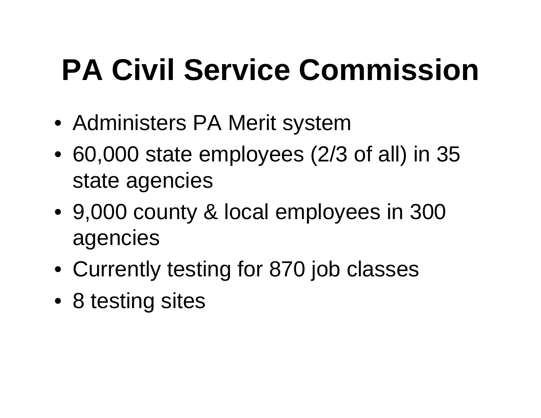#### **PA Civil Service Commission**

- Administers PA Merit system
- 60,000 state employees (2/3 of all) in 35 state agencies
- 9,000 county & local employees in 300 agencies
- Currently testing for 870 job classes
- 8 testing sites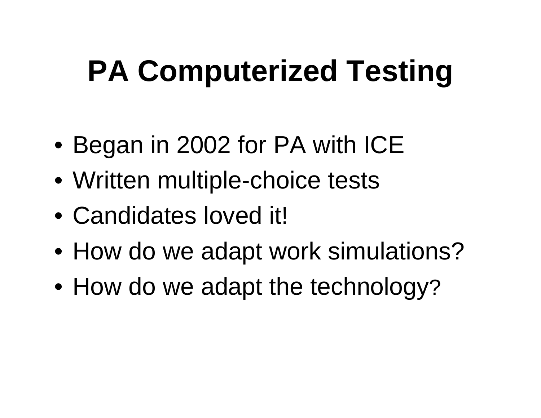#### **PA Computerized Testing**

- Began in 2002 for PA with ICE
- Written multiple-choice tests
- Candidates loved it!
- How do we adapt work simulations?
- How do we adapt the technology ?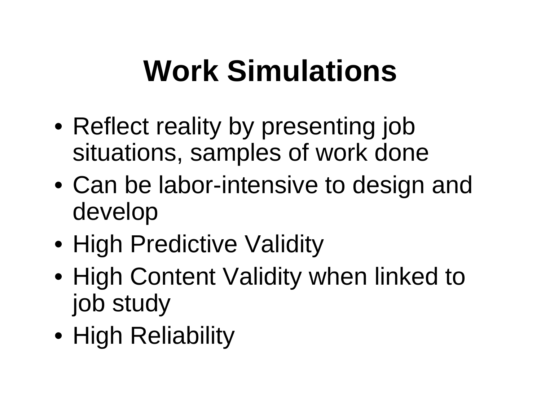#### **Work Simulations**

- Reflect reality by presenting job situations, samples of work done
- Can be labor-intensive to design and develop
- High Predictive Validity
- High Content Validity when linked to job study
- High Reliability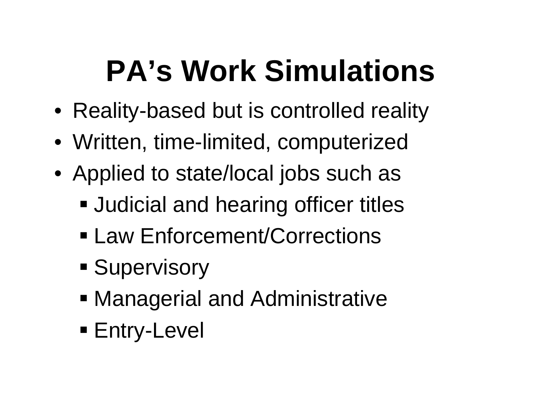#### **PA's Work Simulations**

- Reality-based but is controlled reality
- Written, time-limited, computerized
- Applied to state/local jobs such as
	- **Judicial and hearing officer titles**
	- Law Enforcement/Corrections
	- **Supervisory**
	- Managerial and Administrative
	- Entry-Level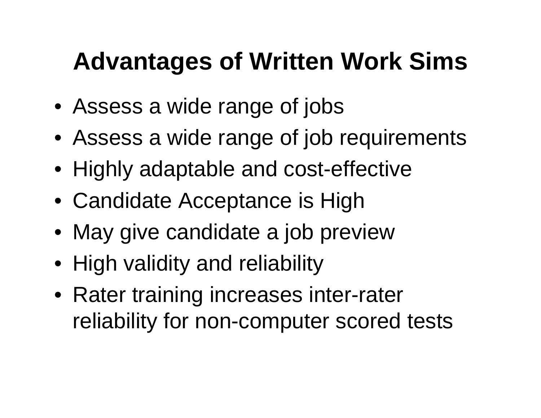#### **Advantages of Written Work Sims**

- Assess a wide range of jobs
- Assess a wide range of job requirements
- Highly adaptable and cost-effective
- Candidate Acceptance is High
- May give candidate a job preview
- High validity and reliability
- Rater training increases inter-rater reliability for non-computer scored tests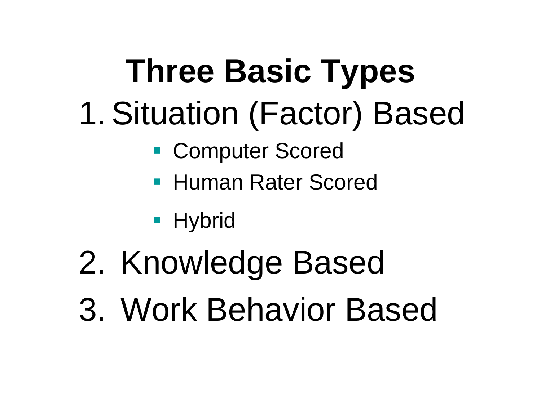# **Three Basic Types** 1. Situation (Factor) Based

- Computer Scored
- **Human Rater Scored**

**- Hybrid** 

- 2. Knowledge Based
- 3. Work Behavior Based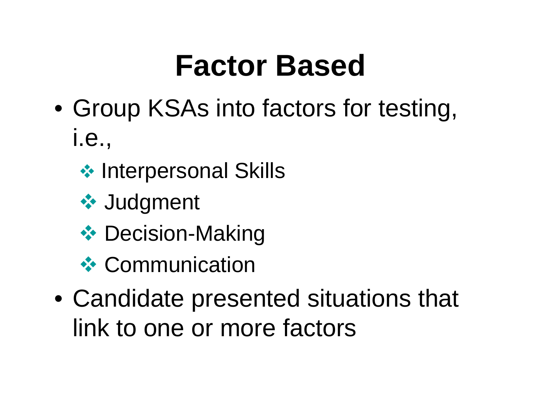#### **Factor Based**

- Group KSAs into factors for testing, i.e.,
	- **❖ Interpersonal Skills**
	- **❖ Judgment**
	- **❖ Decision-Making**
	- **❖ Communication**
- Candidate presented situations that link to one or more factors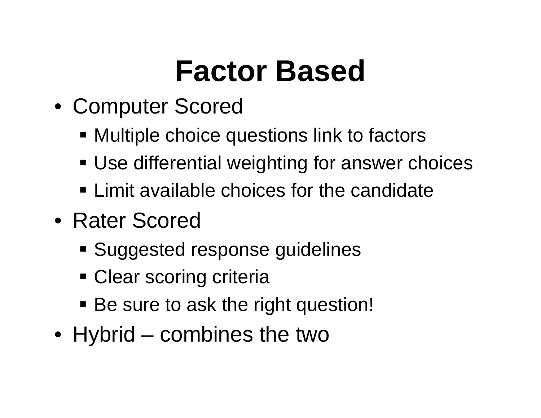#### **Factor Based**

- Computer Scored
	- Multiple choice questions link to factors
	- Use differential weighting for answer choices
	- **Example 1.5 Tellet Limit available choices for the candidate**
- Rater Scored
	- Suggested response guidelines
	- **Clear scoring criteria**
	- **Be sure to ask the right question!**
- Hybrid combines the two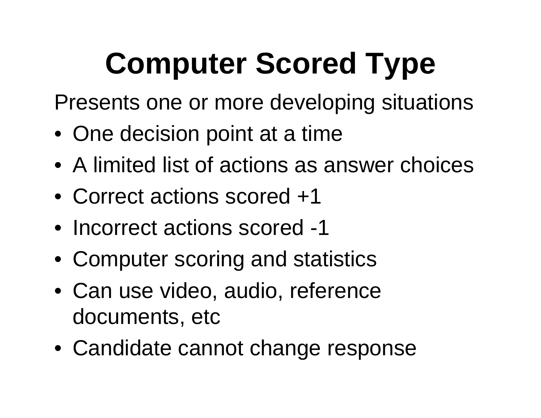## **Computer Scored Type**

Presents one or more developing situations

- One decision point at a time
- A limited list of actions as answer choices
- Correct actions scored +1
- Incorrect actions scored -1
- Computer scoring and statistics
- Can use video, audio, reference documents, etc
- Candidate cannot change response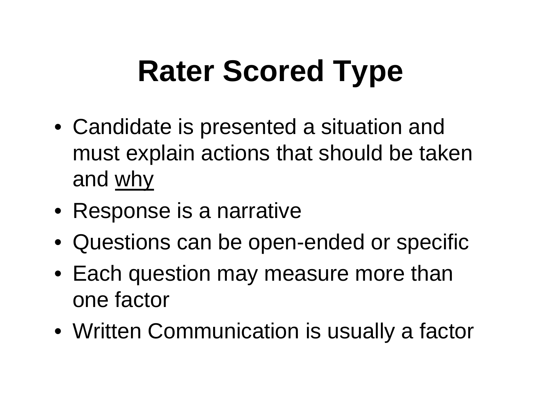# **Rater Scored Type**

- Candidate is presented a situation and must explain actions that should be taken and why
- Response is a narrative
- Questions can be open-ended or specific
- Each question may measure more than one factor
- Written Communication is usually a factor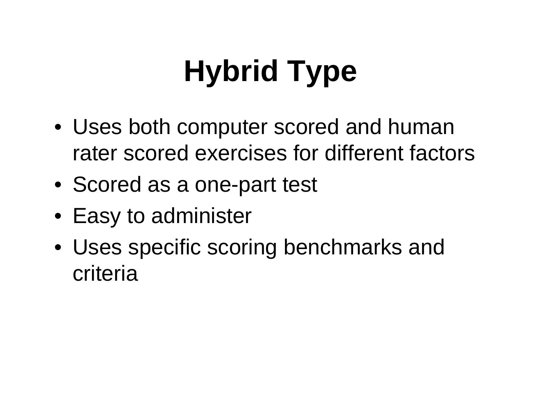# **Hybrid Type**

- Uses both computer scored and human rater scored exercises for different factors
- Scored as a one-part test
- Easy to administer
- Uses specific scoring benchmarks and criteria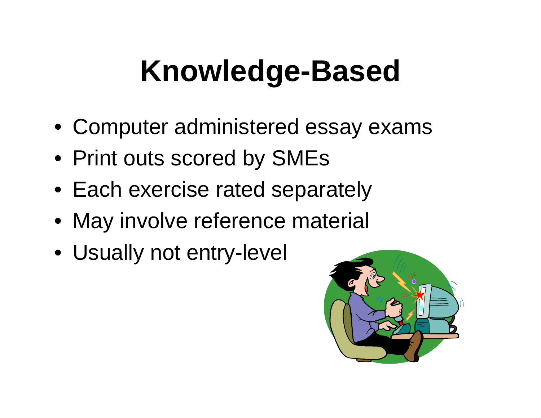#### **Knowledge-Based**

- Computer administered essay exams
- Print outs scored by SMEs
- Each exercise rated separately
- May involve reference material
- Usually not entry-level

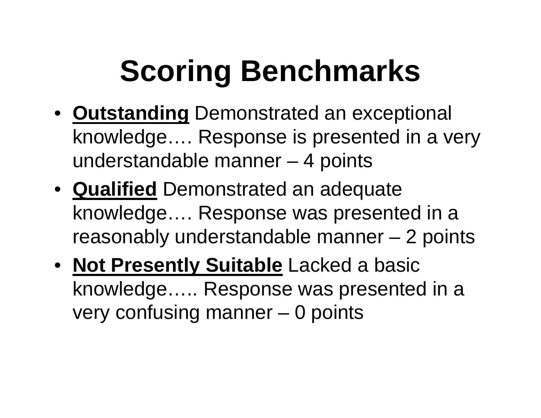#### **Scoring Benchmarks**

- **Outstanding** Demonstrated an exceptional knowledge…. Response is presented in a very understandable manner – 4 points
- **Qualified** Demonstrated an adequate knowledge…. Response was presented in a reasonably understandable manner – 2 points
- **Not Presently Suitable** Lacked a basic knowledge….. Response was presented in a very confusing manner – 0 points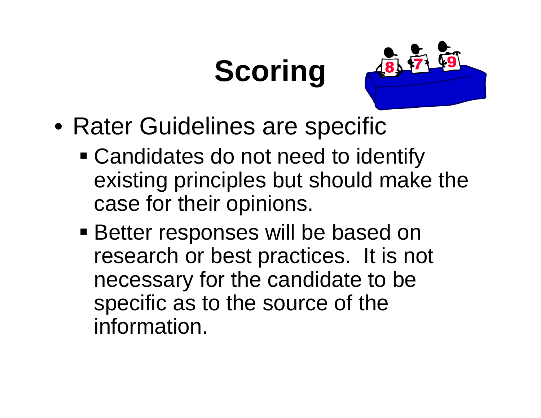#### **Scoring**



- Rater Guidelines are specific
	- Candidates do not need to identify existing principles but should make the case for their opinions.
	- **Better responses will be based on** research or best practices. It is not necessary for the candidate to be specific as to the source of the information.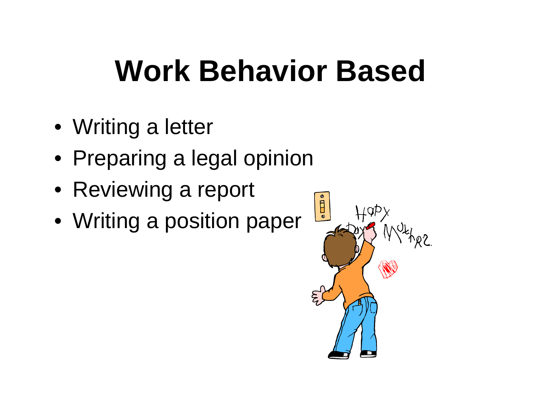#### **Work Behavior Based**

- Writing a letter
- Preparing a legal opinion
- Reviewing a report
- Writing a position paper

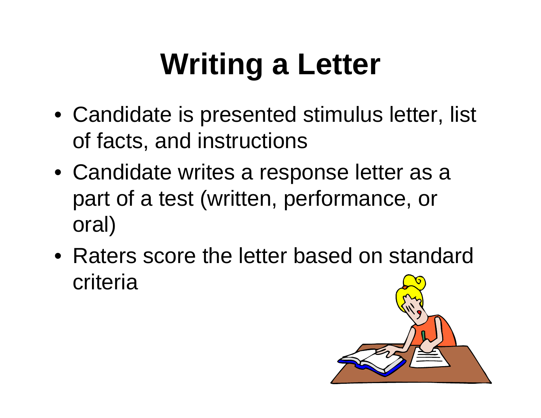# **Writing a Letter**

- Candidate is presented stimulus letter, list of facts, and instructions
- Candidate writes a response letter as a part of a test (written, performance, or oral)
- Raters score the letter based on standard criteria

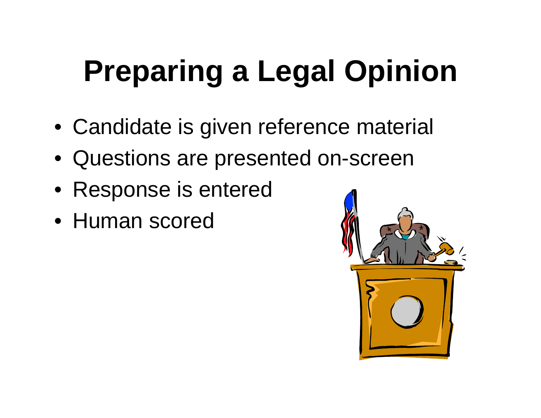## **Preparing a Legal Opinion**

- Candidate is given reference material
- Questions are presented on-screen
- Response is entered
- Human scored

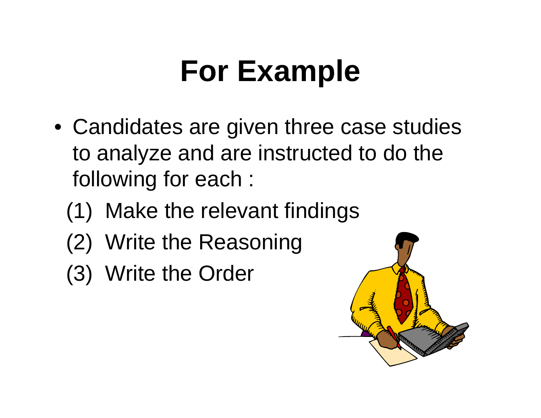#### **For Example**

- Candidates are given three case studies to analyze and are instructed to do the following for each :
	- (1) Make the relevant findings
	- (2) Write the Reasoning
	- (3) Write the Order

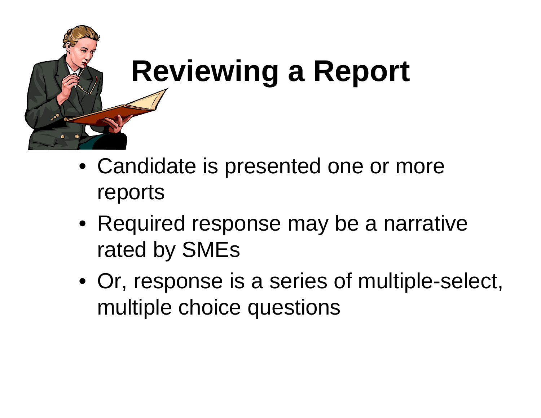

# **Reviewing a Report**

- Candidate is presented one or more reports
- Required response may be a narrative rated by SMEs
- Or, response is a series of multiple-select, multiple choice questions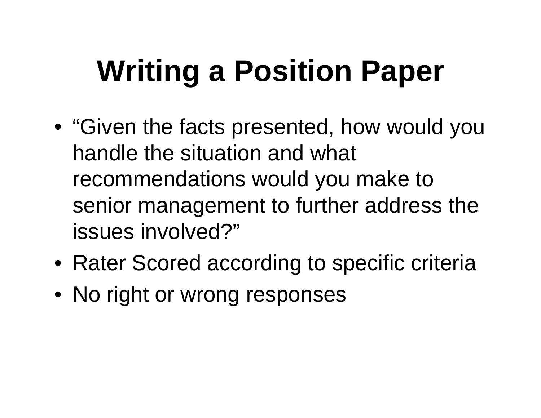# **Writing a Position Paper**

- "Given the facts presented, how would you handle the situation and what recommendations would you make to senior management to further address the issues involved?"
- Rater Scored according to specific criteria
- No right or wrong responses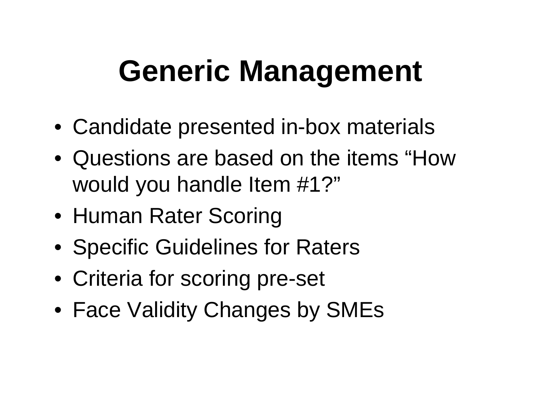#### **Generic Management**

- Candidate presented in-box materials
- Questions are based on the items "How would you handle Item #1?"
- Human Rater Scoring
- Specific Guidelines for Raters
- Criteria for scoring pre-set
- Face Validity Changes by SMEs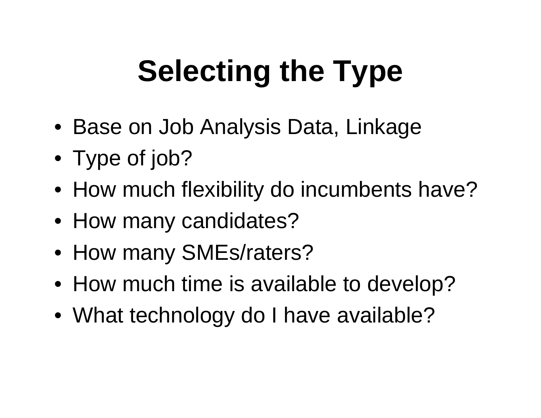# **Selecting the Type**

- Base on Job Analysis Data, Linkage
- Type of job?
- How much flexibility do incumbents have?
- How many candidates?
- How many SMEs/raters?
- How much time is available to develop?
- What technology do I have available?